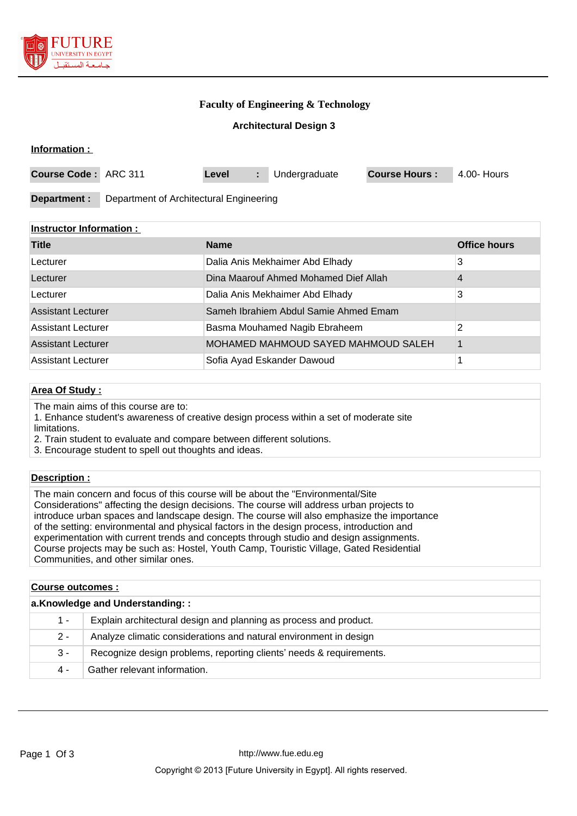

**Information :** 

## **Faculty of Engineering & Technology**

#### **Architectural Design 3**

| Course Code: ARC 311 |                                         | Level | Undergraduate | <b>Course Hours:</b> | 4.00- Hours |
|----------------------|-----------------------------------------|-------|---------------|----------------------|-------------|
| Department :         | Department of Architectural Engineering |       |               |                      |             |

#### **Instructor Information :**

| <b>Title</b>              | <b>Name</b>                           | <b>Office hours</b> |
|---------------------------|---------------------------------------|---------------------|
| Lecturer                  | Dalia Anis Mekhaimer Abd Elhady       | 3                   |
| Lecturer                  | Dina Maarouf Ahmed Mohamed Dief Allah | 4                   |
| Lecturer                  | Dalia Anis Mekhaimer Abd Elhady       | 3                   |
| <b>Assistant Lecturer</b> | Sameh Ibrahiem Abdul Samie Ahmed Emam |                     |
| <b>Assistant Lecturer</b> | Basma Mouhamed Nagib Ebraheem         | 2                   |
| <b>Assistant Lecturer</b> | MOHAMED MAHMOUD SAYED MAHMOUD SALEH   |                     |
| <b>Assistant Lecturer</b> | Sofia Ayad Eskander Dawoud            |                     |

## **Area Of Study :**

The main aims of this course are to:

1. Enhance student's awareness of creative design process within a set of moderate site limitations.

2. Train student to evaluate and compare between different solutions.

3. Encourage student to spell out thoughts and ideas.

#### **Description :**

The main concern and focus of this course will be about the "Environmental/Site Considerations" affecting the design decisions. The course will address urban projects to introduce urban spaces and landscape design. The course will also emphasize the importance of the setting: environmental and physical factors in the design process, introduction and experimentation with current trends and concepts through studio and design assignments. Course projects may be such as: Hostel, Youth Camp, Touristic Village, Gated Residential Communities, and other similar ones.

| <b>Course outcomes :</b>        |                                                                     |  |  |
|---------------------------------|---------------------------------------------------------------------|--|--|
| a.Knowledge and Understanding:: |                                                                     |  |  |
| 1 -                             | Explain architectural design and planning as process and product.   |  |  |
| $2 -$                           | Analyze climatic considerations and natural environment in design   |  |  |
| 3 -                             | Recognize design problems, reporting clients' needs & requirements. |  |  |
| 4 -                             | Gather relevant information.                                        |  |  |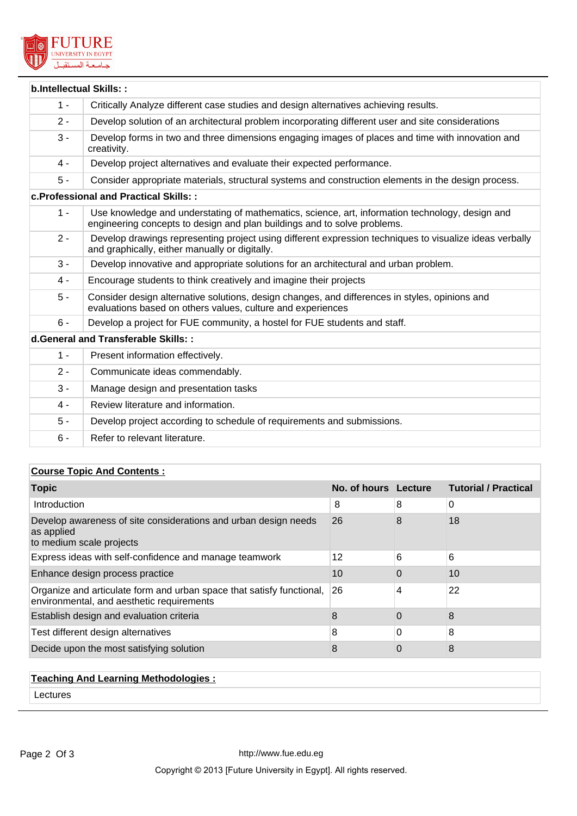

| <b>b.Intellectual Skills::</b> |                                                                                                                                                                             |
|--------------------------------|-----------------------------------------------------------------------------------------------------------------------------------------------------------------------------|
| $1 -$                          | Critically Analyze different case studies and design alternatives achieving results.                                                                                        |
| $2 -$                          | Develop solution of an architectural problem incorporating different user and site considerations                                                                           |
| $3 -$                          | Develop forms in two and three dimensions engaging images of places and time with innovation and<br>creativity.                                                             |
| $4 -$                          | Develop project alternatives and evaluate their expected performance.                                                                                                       |
| $5 -$                          | Consider appropriate materials, structural systems and construction elements in the design process.                                                                         |
|                                | c. Professional and Practical Skills: :                                                                                                                                     |
| $1 -$                          | Use knowledge and understating of mathematics, science, art, information technology, design and<br>engineering concepts to design and plan buildings and to solve problems. |
| $2 -$                          | Develop drawings representing project using different expression techniques to visualize ideas verbally<br>and graphically, either manually or digitally.                   |
| $3 -$                          | Develop innovative and appropriate solutions for an architectural and urban problem.                                                                                        |
| $4 -$                          | Encourage students to think creatively and imagine their projects                                                                                                           |
| $5 -$                          | Consider design alternative solutions, design changes, and differences in styles, opinions and<br>evaluations based on others values, culture and experiences               |
| $6 -$                          | Develop a project for FUE community, a hostel for FUE students and staff.                                                                                                   |
|                                | d. General and Transferable Skills: :                                                                                                                                       |
| $1 -$                          | Present information effectively.                                                                                                                                            |
| $2 -$                          | Communicate ideas commendably.                                                                                                                                              |
| $3 -$                          | Manage design and presentation tasks                                                                                                                                        |
| $4 -$                          | Review literature and information.                                                                                                                                          |
| $5 -$                          | Develop project according to schedule of requirements and submissions.                                                                                                      |
| $6 -$                          | Refer to relevant literature.                                                                                                                                               |

## **Course Topic And Contents :**

| <b>Topic</b>                                                                                                       | No. of hours Lecture |          | <b>Tutorial / Practical</b> |
|--------------------------------------------------------------------------------------------------------------------|----------------------|----------|-----------------------------|
| Introduction                                                                                                       | 8                    | 8        | 0                           |
| Develop awareness of site considerations and urban design needs<br>as applied<br>to medium scale projects          | 26                   | 8        | 18                          |
| Express ideas with self-confidence and manage teamwork                                                             | 12                   | 6        | 6                           |
| Enhance design process practice                                                                                    | 10                   | $\Omega$ | 10                          |
| Organize and articulate form and urban space that satisfy functional,<br>environmental, and aesthetic requirements | 26                   | 4        | 22                          |
| Establish design and evaluation criteria                                                                           | 8                    | 0        | 8                           |
| Test different design alternatives                                                                                 | 8                    | 0        | 8                           |
| Decide upon the most satisfying solution                                                                           | 8                    | 0        | 8                           |

## **Teaching And Learning Methodologies :**

Lectures